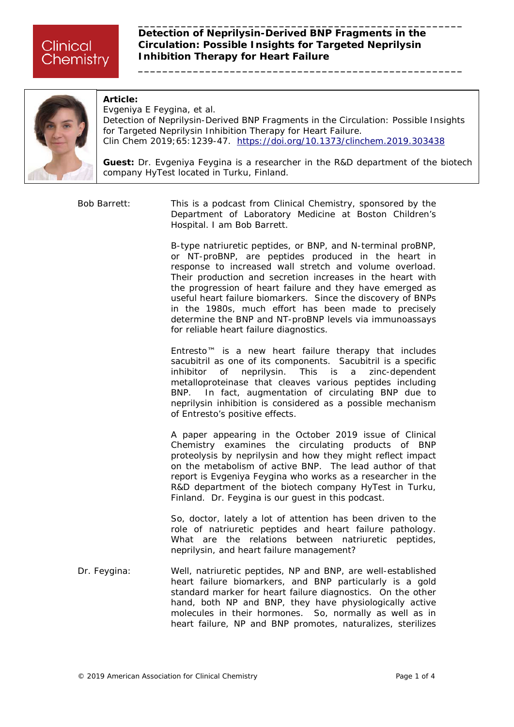**\_\_\_\_\_\_\_\_\_\_\_\_\_\_\_\_\_\_\_\_\_\_\_\_\_\_\_\_\_\_\_\_\_\_\_\_\_\_\_\_\_\_\_\_\_\_\_\_\_\_\_\_\_**



#### **Article:**

Evgeniya E Feygina, et al. *Detection of Neprilysin-Derived BNP Fragments in the Circulation: Possible Insights for Targeted Neprilysin Inhibition Therapy for Heart Failure.* Clin Chem 2019;65:1239-47. <https://doi.org/10.1373/clinchem.2019.303438>

**Guest:** Dr. Evgeniya Feygina is a researcher in the R&D department of the biotech company HyTest located in Turku, Finland.

Bob Barrett: This is a podcast from *Clinical Chemistry,* sponsored by the Department of Laboratory Medicine at Boston Children's Hospital. I am Bob Barrett.

> B-type natriuretic peptides, or BNP, and N-terminal proBNP, or NT-proBNP, are peptides produced in the heart in response to increased wall stretch and volume overload. Their production and secretion increases in the heart with the progression of heart failure and they have emerged as useful heart failure biomarkers. Since the discovery of BNPs in the 1980s, much effort has been made to precisely determine the BNP and NT-proBNP levels via immunoassays for reliable heart failure diagnostics.

> Entresto™ is a new heart failure therapy that includes sacubitril as one of its components. Sacubitril is a specific inhibitor of neprilysin. This is a zinc-dependent metalloproteinase that cleaves various peptides including BNP. In fact, augmentation of circulating BNP due to neprilysin inhibition is considered as a possible mechanism of Entresto's positive effects.

> A paper appearing in the October 2019 issue of *Clinical Chemistry* examines the circulating products of BNP proteolysis by neprilysin and how they might reflect impact on the metabolism of active BNP. The lead author of that report is Evgeniya Feygina who works as a researcher in the R&D department of the biotech company HyTest in Turku, Finland. Dr. Feygina is our guest in this podcast.

> So, doctor, lately a lot of attention has been driven to the role of natriuretic peptides and heart failure pathology. What are the relations between natriuretic peptides, neprilysin, and heart failure management?

Dr. Feygina: Well, natriuretic peptides, NP and BNP, are well-established heart failure biomarkers, and BNP particularly is a gold standard marker for heart failure diagnostics. On the other hand, both NP and BNP, they have physiologically active molecules in their hormones. So, normally as well as in heart failure, NP and BNP promotes, naturalizes, sterilizes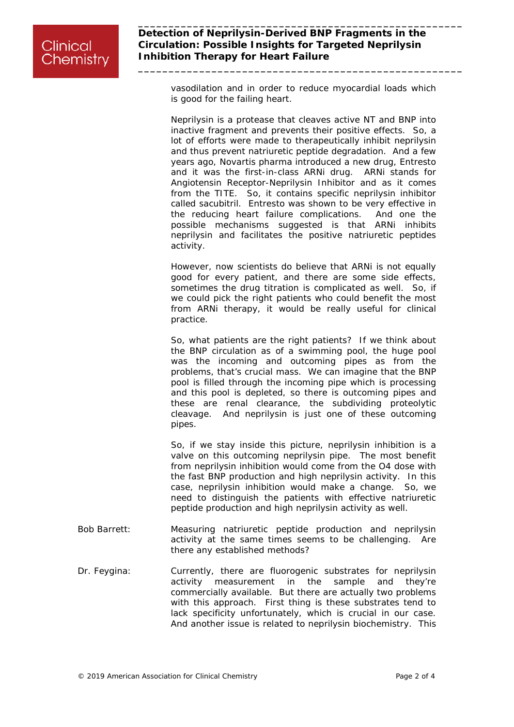vasodilation and in order to reduce myocardial loads which is good for the failing heart.

**\_\_\_\_\_\_\_\_\_\_\_\_\_\_\_\_\_\_\_\_\_\_\_\_\_\_\_\_\_\_\_\_\_\_\_\_\_\_\_\_\_\_\_\_\_\_\_\_\_\_\_\_\_**

Neprilysin is a protease that cleaves active NT and BNP into inactive fragment and prevents their positive effects. So, a lot of efforts were made to therapeutically inhibit neprilysin and thus prevent natriuretic peptide degradation. And a few years ago, Novartis pharma introduced a new drug, Entresto and it was the first-in-class ARNi drug. ARNi stands for Angiotensin Receptor-Neprilysin Inhibitor and as it comes from the TITE. So, it contains specific neprilysin inhibitor called sacubitril. Entresto was shown to be very effective in the reducing heart failure complications. And one the possible mechanisms suggested is that ARNi inhibits neprilysin and facilitates the positive natriuretic peptides activity.

However, now scientists do believe that ARNi is not equally good for every patient, and there are some side effects, sometimes the drug titration is complicated as well. So, if we could pick the right patients who could benefit the most from ARNi therapy, it would be really useful for clinical practice.

So, what patients are the right patients? If we think about the BNP circulation as of a swimming pool, the huge pool was the incoming and outcoming pipes as from the problems, that's crucial mass. We can imagine that the BNP pool is filled through the incoming pipe which is processing and this pool is depleted, so there is outcoming pipes and these are renal clearance, the subdividing proteolytic cleavage. And neprilysin is just one of these outcoming pipes.

So, if we stay inside this picture, neprilysin inhibition is a valve on this outcoming neprilysin pipe. The most benefit from neprilysin inhibition would come from the O4 dose with the fast BNP production and high neprilysin activity. In this case, neprilysin inhibition would make a change. So, we need to distinguish the patients with effective natriuretic peptide production and high neprilysin activity as well.

- Bob Barrett: Measuring natriuretic peptide production and neprilysin activity at the same times seems to be challenging. Are there any established methods?
- Dr. Feygina: Currently, there are fluorogenic substrates for neprilysin activity measurement in the sample and they're commercially available. But there are actually two problems with this approach. First thing is these substrates tend to lack specificity unfortunately, which is crucial in our case. And another issue is related to neprilysin biochemistry. This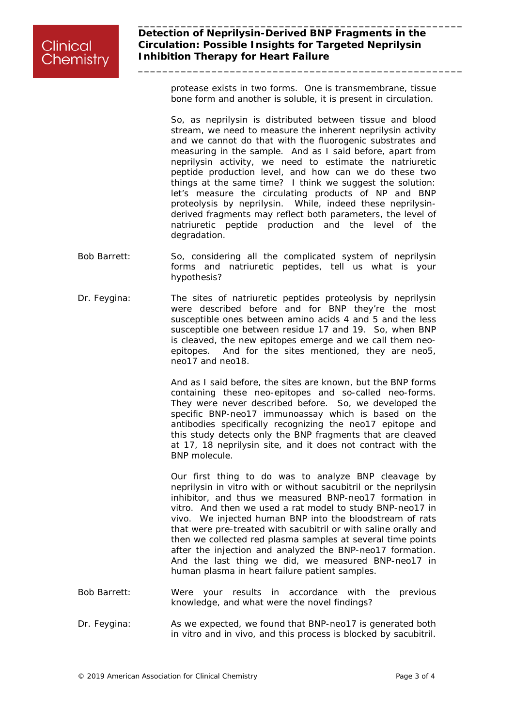protease exists in two forms. One is transmembrane, tissue bone form and another is soluble, it is present in circulation.

**\_\_\_\_\_\_\_\_\_\_\_\_\_\_\_\_\_\_\_\_\_\_\_\_\_\_\_\_\_\_\_\_\_\_\_\_\_\_\_\_\_\_\_\_\_\_\_\_\_\_\_\_\_**

So, as neprilysin is distributed between tissue and blood stream, we need to measure the inherent neprilysin activity and we cannot do that with the fluorogenic substrates and measuring in the sample. And as I said before, apart from neprilysin activity, we need to estimate the natriuretic peptide production level, and how can we do these two things at the same time? I think we suggest the solution: let's measure the circulating products of NP and BNP proteolysis by neprilysin. While, indeed these neprilysinderived fragments may reflect both parameters, the level of natriuretic peptide production and the level of the degradation.

- Bob Barrett: So, considering all the complicated system of neprilysin forms and natriuretic peptides, tell us what is your hypothesis?
- Dr. Feygina: The sites of natriuretic peptides proteolysis by neprilysin were described before and for BNP they're the most susceptible ones between amino acids 4 and 5 and the less susceptible one between residue 17 and 19. So, when BNP is cleaved, the new epitopes emerge and we call them neoepitopes. And for the sites mentioned, they are neo5, neo17 and neo18.

And as I said before, the sites are known, but the BNP forms containing these neo-epitopes and so-called neo-forms. They were never described before. So, we developed the specific BNP-neo17 immunoassay which is based on the antibodies specifically recognizing the neo17 epitope and this study detects only the BNP fragments that are cleaved at 17, 18 neprilysin site, and it does not contract with the BNP molecule.

Our first thing to do was to analyze BNP cleavage by neprilysin in vitro with or without sacubitril or the neprilysin inhibitor, and thus we measured BNP-neo17 formation in vitro. And then we used a rat model to study BNP-neo17 in vivo. We injected human BNP into the bloodstream of rats that were pre-treated with sacubitril or with saline orally and then we collected red plasma samples at several time points after the injection and analyzed the BNP-neo17 formation. And the last thing we did, we measured BNP-neo17 in human plasma in heart failure patient samples.

- Bob Barrett: Were your results in accordance with the previous knowledge, and what were the novel findings?
- Dr. Feygina: As we expected, we found that BNP-neo17 is generated both in vitro and in vivo, and this process is blocked by sacubitril.